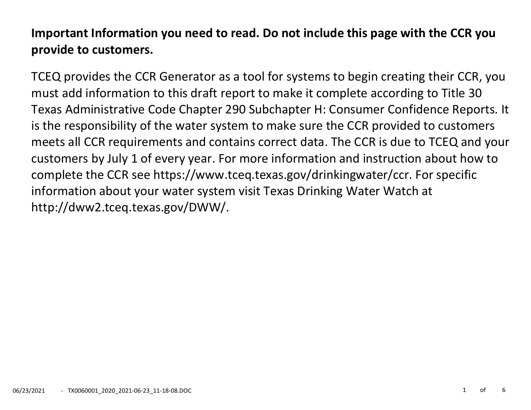# **Important Information you need to read. Do not include this page with the CCR you provide to customers.**

TCEQ provides the CCR Generator as a tool for systems to begin creating their CCR, you must add information to this draft report to make it complete according to Title 30 Texas Administrative Code Chapter 290 Subchapter H: Consumer Confidence Reports. It is the responsibility of the water system to make sure the CCR provided to customers meets all CCR requirements and contains correct data. The CCR is due to TCEQ and your customers by July 1 of every year. For more information and instruction about how to complete the CCR see https://www.tceq.texas.gov/drinkingwater/ccr. For specific information about your water system visit Texas Drinking Water Watch at http://dww2.tceq.texas.gov/DWW/.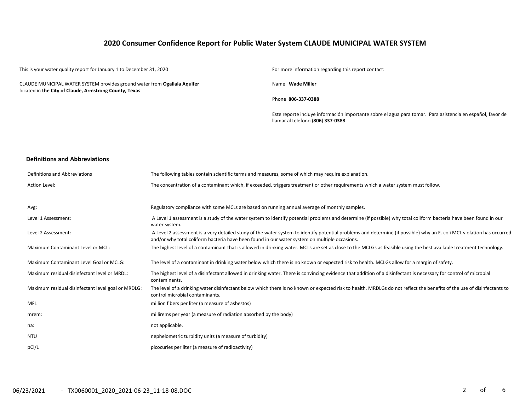# **2020 Consumer Confidence Report for Public Water System CLAUDE MUNICIPAL WATER SYSTEM**

This is your water quality report for January 1 to December 31, 2020 For more information regarding this report contact: CLAUDE MUNICIPAL WATER SYSTEM provides ground water from **Ogallala Aquifer** located in **the City of Claude, Armstrong County, Texas**. Name **Wade Miller** Phone **806-337-0388** Este reporte incluye información importante sobre el agua para tomar. Para asistencia en español, favor de llamar al telefono (**806**) **337-0388 Definitions and Abbreviations**

| Definitions and Abbreviations                      | The following tables contain scientific terms and measures, some of which may require explanation.                                                                                                                                                                      |
|----------------------------------------------------|-------------------------------------------------------------------------------------------------------------------------------------------------------------------------------------------------------------------------------------------------------------------------|
| Action Level:                                      | The concentration of a contaminant which, if exceeded, triggers treatment or other requirements which a water system must follow.                                                                                                                                       |
|                                                    |                                                                                                                                                                                                                                                                         |
| Avg:                                               | Regulatory compliance with some MCLs are based on running annual average of monthly samples.                                                                                                                                                                            |
| Level 1 Assessment:                                | A Level 1 assessment is a study of the water system to identify potential problems and determine (if possible) why total coliform bacteria have been found in our<br>water system.                                                                                      |
| Level 2 Assessment:                                | A Level 2 assessment is a very detailed study of the water system to identify potential problems and determine (if possible) why an E. coli MCL violation has occurred<br>and/or why total coliform bacteria have been found in our water system on multiple occasions. |
| Maximum Contaminant Level or MCL:                  | The highest level of a contaminant that is allowed in drinking water. MCLs are set as close to the MCLGs as feasible using the best available treatment technology.                                                                                                     |
| Maximum Contaminant Level Goal or MCLG:            | The level of a contaminant in drinking water below which there is no known or expected risk to health. MCLGs allow for a margin of safety.                                                                                                                              |
| Maximum residual disinfectant level or MRDL:       | The highest level of a disinfectant allowed in drinking water. There is convincing evidence that addition of a disinfectant is necessary for control of microbial<br>contaminants.                                                                                      |
| Maximum residual disinfectant level goal or MRDLG: | The level of a drinking water disinfectant below which there is no known or expected risk to health. MRDLGs do not reflect the benefits of the use of disinfectants to<br>control microbial contaminants.                                                               |
| <b>MFL</b>                                         | million fibers per liter (a measure of asbestos)                                                                                                                                                                                                                        |
| mrem:                                              | millirems per year (a measure of radiation absorbed by the body)                                                                                                                                                                                                        |
| na:                                                | not applicable.                                                                                                                                                                                                                                                         |
| <b>NTU</b>                                         | nephelometric turbidity units (a measure of turbidity)                                                                                                                                                                                                                  |
| pCi/L                                              | picocuries per liter (a measure of radioactivity)                                                                                                                                                                                                                       |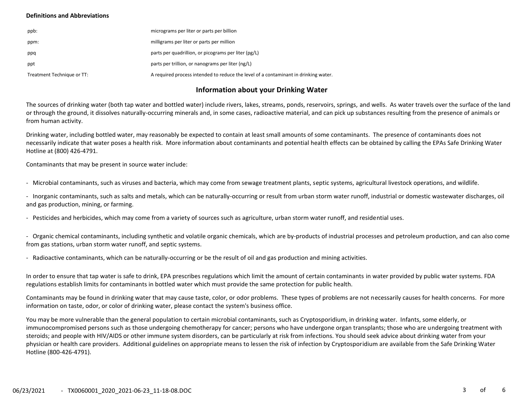### **Definitions and Abbreviations**

| ppb:                       | micrograms per liter or parts per billion                                           |
|----------------------------|-------------------------------------------------------------------------------------|
| ppm:                       | milligrams per liter or parts per million                                           |
| ppq                        | parts per quadrillion, or picograms per liter (pg/L)                                |
| ppt                        | parts per trillion, or nanograms per liter (ng/L)                                   |
| Treatment Technique or TT: | A required process intended to reduce the level of a contaminant in drinking water. |

# **Information about your Drinking Water**

The sources of drinking water (both tap water and bottled water) include rivers, lakes, streams, ponds, reservoirs, springs, and wells. As water travels over the surface of the land or through the ground, it dissolves naturally-occurring minerals and, in some cases, radioactive material, and can pick up substances resulting from the presence of animals or from human activity.

Drinking water, including bottled water, may reasonably be expected to contain at least small amounts of some contaminants. The presence of contaminants does not necessarily indicate that water poses a health risk. More information about contaminants and potential health effects can be obtained by calling the EPAs Safe Drinking Water Hotline at (800) 426-4791.

Contaminants that may be present in source water include:

- Microbial contaminants, such as viruses and bacteria, which may come from sewage treatment plants, septic systems, agricultural livestock operations, and wildlife.

- Inorganic contaminants, such as salts and metals, which can be naturally-occurring or result from urban storm water runoff, industrial or domestic wastewater discharges, oil and gas production, mining, or farming.

- Pesticides and herbicides, which may come from a variety of sources such as agriculture, urban storm water runoff, and residential uses.

- Organic chemical contaminants, including synthetic and volatile organic chemicals, which are by-products of industrial processes and petroleum production, and can also come from gas stations, urban storm water runoff, and septic systems.

- Radioactive contaminants, which can be naturally-occurring or be the result of oil and gas production and mining activities.

In order to ensure that tap water is safe to drink, EPA prescribes regulations which limit the amount of certain contaminants in water provided by public water systems. FDA regulations establish limits for contaminants in bottled water which must provide the same protection for public health.

Contaminants may be found in drinking water that may cause taste, color, or odor problems. These types of problems are not necessarily causes for health concerns. For more information on taste, odor, or color of drinking water, please contact the system's business office.

You may be more vulnerable than the general population to certain microbial contaminants, such as Cryptosporidium, in drinking water. Infants, some elderly, or immunocompromised persons such as those undergoing chemotherapy for cancer; persons who have undergone organ transplants; those who are undergoing treatment with steroids; and people with HIV/AIDS or other immune system disorders, can be particularly at risk from infections. You should seek advice about drinking water from your physician or health care providers. Additional guidelines on appropriate means to lessen the risk of infection by Cryptosporidium are available from the Safe Drinking Water Hotline (800-426-4791).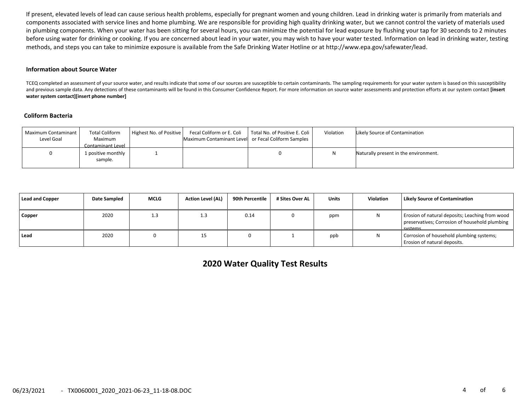If present, elevated levels of lead can cause serious health problems, especially for pregnant women and young children. Lead in drinking water is primarily from materials and components associated with service lines and home plumbing. We are responsible for providing high quality drinking water, but we cannot control the variety of materials used in plumbing components. When your water has been sitting for several hours, you can minimize the potential for lead exposure by flushing your tap for 30 seconds to 2 minutes before using water for drinking or cooking. If you are concerned about lead in your water, you may wish to have your water tested. Information on lead in drinking water, testing methods, and steps you can take to minimize exposure is available from the Safe Drinking Water Hotline or at http://www.epa.gov/safewater/lead.

#### **Information about Source Water**

TCEQ completed an assessment of your source water, and results indicate that some of our sources are susceptible to certain contaminants. The sampling requirements for your water system is based on this susceptibility and previous sample data. Any detections of these contaminants will be found in this Consumer Confidence Report. For more information on source water assessments and protection efforts at our system contact **[insert water system contact][insert phone number]**

#### **Coliform Bacteria**

| Maximum Contaminant<br>Level Goal | <b>Total Coliform</b><br>Maximum<br>Contaminant Level | Highest No. of Positive | Maximum Contaminant Level or Fecal Coliform Samples | Fecal Coliform or E. Coli   Total No. of Positive E. Coli | Violation | Likely Source of Contamination        |
|-----------------------------------|-------------------------------------------------------|-------------------------|-----------------------------------------------------|-----------------------------------------------------------|-----------|---------------------------------------|
|                                   | 1 positive monthly<br>sample.                         |                         |                                                     |                                                           |           | Naturally present in the environment. |

| Lead and Copper | Date Sampled | <b>MCLG</b> | <b>Action Level (AL)</b> | 90th Percentile | # Sites Over AL | <b>Units</b> | <b>Violation</b> | <b>Likely Source of Contamination</b>                                                                        |
|-----------------|--------------|-------------|--------------------------|-----------------|-----------------|--------------|------------------|--------------------------------------------------------------------------------------------------------------|
| Copper          | 2020         | 1.3         | 1.3                      | 0.14            |                 | ppm          |                  | Erosion of natural deposits; Leaching from wood<br>preservatives; Corrosion of household plumbing<br>cyctome |
| l Lead          | 2020         |             | ᅩ                        |                 |                 | ppb          |                  | Corrosion of household plumbing systems;<br>Erosion of natural deposits.                                     |

**2020 Water Quality Test Results**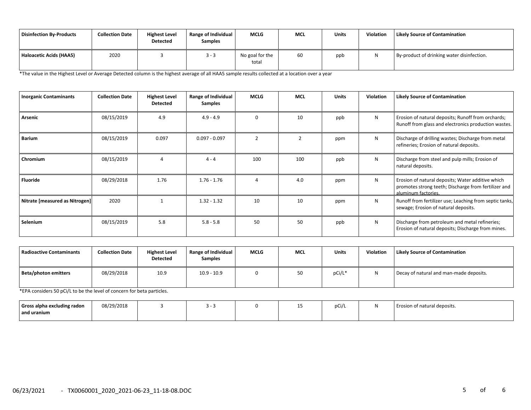| Disinfection By-Products | <b>Collection Date</b> | <b>Highest Level</b><br><b>Detected</b> | <b>Range of Individual</b><br><b>Samples</b> | <b>MCLG</b>              | <b>MCL</b> | Units | Violation | <b>Likely Source of Contamination</b>      |
|--------------------------|------------------------|-----------------------------------------|----------------------------------------------|--------------------------|------------|-------|-----------|--------------------------------------------|
| Haloacetic Acids (HAA5)  | 2020                   |                                         | $3 - 3$                                      | No goal for the<br>total | 60         | ppb   |           | By-product of drinking water disinfection. |

\*The value in the Highest Level or Average Detected column is the highest average of all HAA5 sample results collected at a location over a year

| <b>Inorganic Contaminants</b>  | <b>Collection Date</b> | <b>Highest Level</b><br><b>Detected</b> | Range of Individual<br>Samples | <b>MCLG</b>   | <b>MCL</b>     | <b>Units</b> | Violation | <b>Likely Source of Contamination</b>                                                                                            |
|--------------------------------|------------------------|-----------------------------------------|--------------------------------|---------------|----------------|--------------|-----------|----------------------------------------------------------------------------------------------------------------------------------|
| Arsenic                        | 08/15/2019             | 4.9                                     | $4.9 - 4.9$                    | $\Omega$      | 10             | ppb          | N         | Erosion of natural deposits; Runoff from orchards;<br>Runoff from glass and electronics production wastes.                       |
| <b>Barium</b>                  | 08/15/2019             | 0.097                                   | $0.097 - 0.097$                | $\mathcal{P}$ | $\overline{2}$ | ppm          | N         | Discharge of drilling wastes; Discharge from metal<br>refineries; Erosion of natural deposits.                                   |
| Chromium                       | 08/15/2019             |                                         | $4 - 4$                        | 100           | 100            | ppb          | N         | Discharge from steel and pulp mills; Erosion of<br>natural deposits.                                                             |
| <b>Fluoride</b>                | 08/29/2018             | 1.76                                    | $1.76 - 1.76$                  |               | 4.0            | ppm          | N         | Erosion of natural deposits; Water additive which<br>promotes strong teeth; Discharge from fertilizer and<br>aluminum factories. |
| Nitrate [measured as Nitrogen] | 2020                   |                                         | $1.32 - 1.32$                  | 10            | 10             | ppm          | N         | Runoff from fertilizer use; Leaching from septic tanks,<br>sewage; Erosion of natural deposits.                                  |
| Selenium                       | 08/15/2019             | 5.8                                     | $5.8 - 5.8$                    | 50            | 50             | ppb          | N         | Discharge from petroleum and metal refineries;<br>Erosion of natural deposits; Discharge from mines.                             |

| Radioactive Contaminants | <b>Collection Date</b> | <b>Highest Level</b><br><b>Detected</b> | Range of Individual<br><b>Samples</b> | <b>MCLG</b> | MCL | Units  | <b>Violation</b> | <b>Likely Source of Contamination</b>   |
|--------------------------|------------------------|-----------------------------------------|---------------------------------------|-------------|-----|--------|------------------|-----------------------------------------|
| Beta/photon emitters     | 08/29/2018             | 10.9                                    | $10.9 - 10.9$                         |             | 50  | pCi/L* |                  | Decay of natural and man-made deposits. |

\*EPA considers 50 pCi/L to be the level of concern for beta particles.

| Gross alpha excluding radon<br>and uranium | 08/29/2018 |  | -- | pCi/ | Erosion of natural deposits. |
|--------------------------------------------|------------|--|----|------|------------------------------|
|                                            |            |  |    |      |                              |